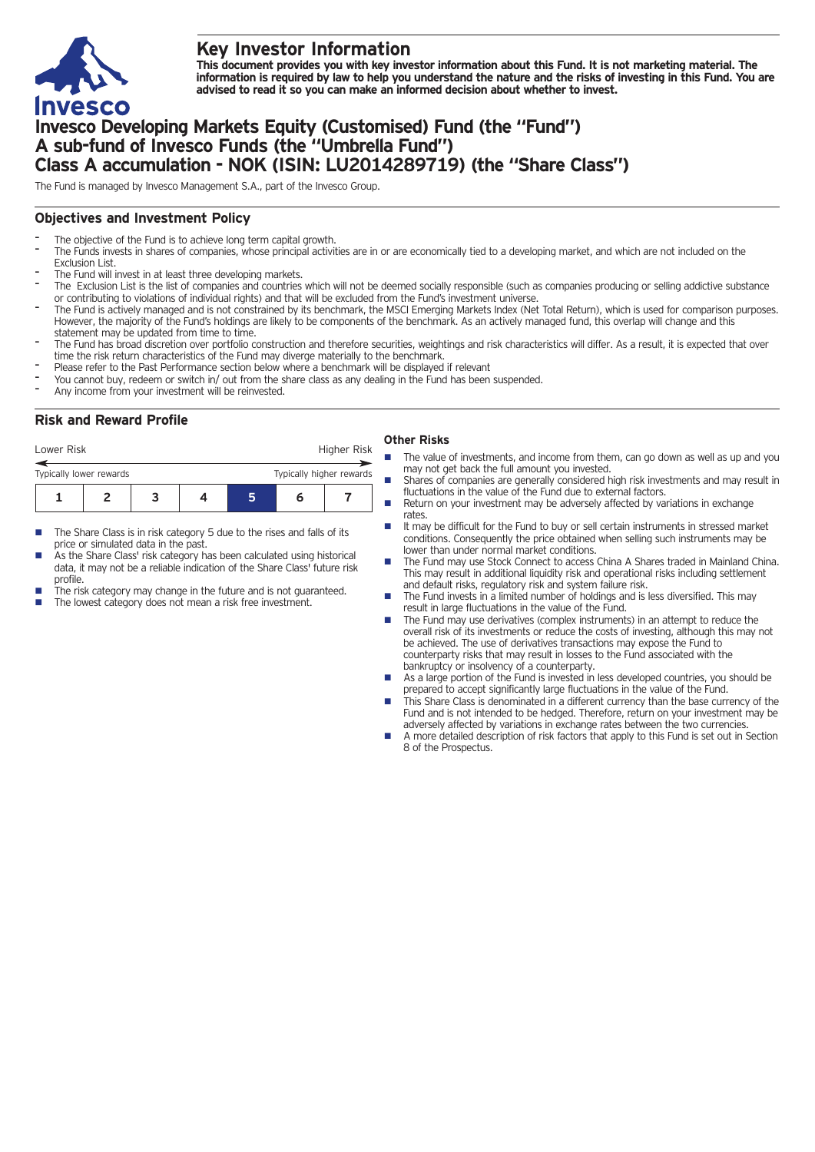

# **Key Investor Information**

This document provides you with key investor information about this Fund. It is not marketing material. The information is required by law to help you understand the nature and the risks of investing in this Fund. You are **advised to read it so you can make an informed decision about whether to invest.**

# **Invesco Developing Markets Equity (Customised) Fund (the "Fund") A sub-fund of Invesco Funds (the "Umbrella Fund") Class A accumulation - NOK (ISIN: LU2014289719) (the "Share Class")**

The Fund is managed by Invesco Management S.A., part of the Invesco Group.

## **Objectives and Investment Policy**

- The objective of the Fund is to achieve long term capital growth.
- The Funds invests in shares of companies, whose principal activities are in or are economically tied to a developing market, and which are not included on the Exclusion List.
- The Fund will invest in at least three developing markets.
- The Exclusion List is the list of companies and countries which will not be deemed socially responsible (such as companies producing or selling addictive substance or contributing to violations of individual rights) and that will be excluded from the Fund's investment universe.
- The Fund is actively managed and is not constrained by its benchmark, the MSCI Emerging Markets Index (Net Total Return), which is used for comparison purposes. However, the majority of the Fund's holdings are likely to be components of the benchmark. As an actively managed fund, this overlap will change and this statement may be updated from time to time.
- The Fund has broad discretion over portfolio construction and therefore securities, weightings and risk characteristics will differ. As a result, it is expected that over time the risk return characteristics of the Fund may diverge materially to the benchmark.
- Please refer to the Past Performance section below where a benchmark will be displayed if relevant
- You cannot buy, redeem or switch in/ out from the share class as any dealing in the Fund has been suspended.
- Any income from your investment will be reinvested.

## **Risk and Reward Profile**

| Lower Risk              |  | Higher Risk              |  |   |  |
|-------------------------|--|--------------------------|--|---|--|
| Typically lower rewards |  | Typically higher rewards |  |   |  |
|                         |  |                          |  | n |  |

- The Share Class is in risk category 5 due to the rises and falls of its price or simulated data in the past.
- As the Share Class' risk category has been calculated using historical data, it may not be a reliable indication of the Share Class' future risk profile.
- The risk category may change in the future and is not guaranteed.
	- The lowest category does not mean a risk free investment.

### **Other Risks**

- The value of investments, and income from them, can go down as well as up and you may not get back the full amount you invested.
- Shares of companies are generally considered high risk investments and may result in fluctuations in the value of the Fund due to external factors.
- Return on your investment may be adversely affected by variations in exchange rates.
- It may be difficult for the Fund to buy or sell certain instruments in stressed market conditions. Consequently the price obtained when selling such instruments may be lower than under normal market conditions.
- n The Fund may use Stock Connect to access China A Shares traded in Mainland China. This may result in additional liquidity risk and operational risks including settlement and default risks, regulatory risk and system failure risk.
- n The Fund invests in a limited number of holdings and is less diversified. This may result in large fluctuations in the value of the Fund.
- The Fund may use derivatives (complex instruments) in an attempt to reduce the overall risk of its investments or reduce the costs of investing, although this may not be achieved. The use of derivatives transactions may expose the Fund to counterparty risks that may result in losses to the Fund associated with the bankruptcy or insolvency of a counterparty.
- As a large portion of the Fund is invested in less developed countries, you should be prepared to accept significantly large fluctuations in the value of the Fund.
- This Share Class is denominated in a different currency than the base currency of the Fund and is not intended to be hedged. Therefore, return on your investment may be adversely affected by variations in exchange rates between the two currencies.
- n A more detailed description of risk factors that apply to this Fund is set out in Section 8 of the Prospectus.